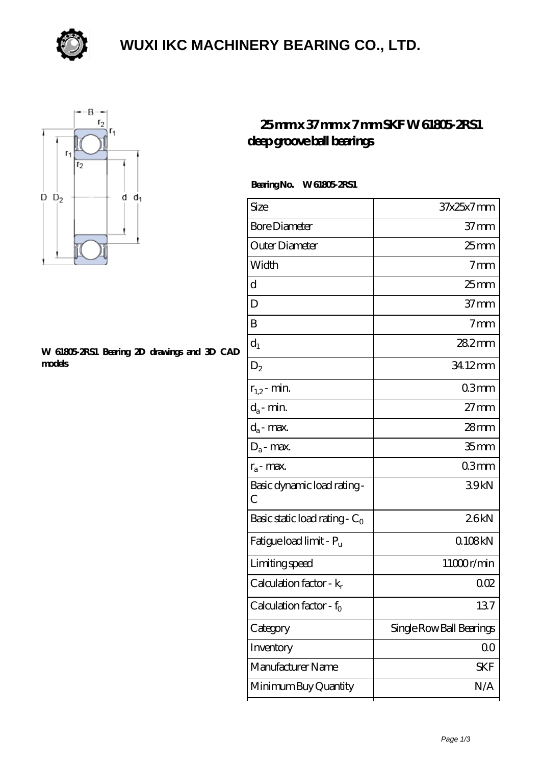

### **[WUXI IKC MACHINERY BEARING CO., LTD.](https://szerafstudio.com)**



#### **[W 61805-2RS1 Bearing 2D drawings and 3D CAD](https://szerafstudio.com/pic-531203.html) [models](https://szerafstudio.com/pic-531203.html)**

### **[25 mm x 37 mm x 7 mm SKF W 61805-2RS1](https://szerafstudio.com/skf-w-61805-2rs1-bearing/) [deep groove ball bearings](https://szerafstudio.com/skf-w-61805-2rs1-bearing/)**

#### **Bearing No. W 61805-2RS1**

| Size                                | 37x25x7mm                |
|-------------------------------------|--------------------------|
| <b>Bore Diameter</b>                | $37 \text{mm}$           |
| Outer Diameter                      | 25 mm                    |
| Width                               | 7 <sub>mm</sub>          |
| d                                   | $25 \text{mm}$           |
| D                                   | $37 \text{mm}$           |
| B                                   | 7 <sub>mm</sub>          |
| $d_1$                               | 282mm                    |
| $D_2$                               | 34.12mm                  |
| $r_{1,2}$ - min.                    | 03mm                     |
| $d_a$ - min.                        | $27 \text{mm}$           |
| $d_a$ - max.                        | $28 \text{mm}$           |
| $D_a$ - max.                        | 35 <sub>mm</sub>         |
| $r_a$ - max.                        | 03mm                     |
| Basic dynamic load rating-<br>C     | 39kN                     |
| Basic static load rating - $C_0$    | 26kN                     |
| Fatigue load limit - Pu             | Q108kN                   |
| Limiting speed                      | 11000r/min               |
| Calculation factor - $k_r$          | QŒ                       |
| Calculation factor - f <sub>o</sub> | 137                      |
| Category                            | Single Row Ball Bearings |
| Inventory                           | 00                       |
| Manufacturer Name                   | <b>SKF</b>               |
| Minimum Buy Quantity                | N/A                      |
|                                     |                          |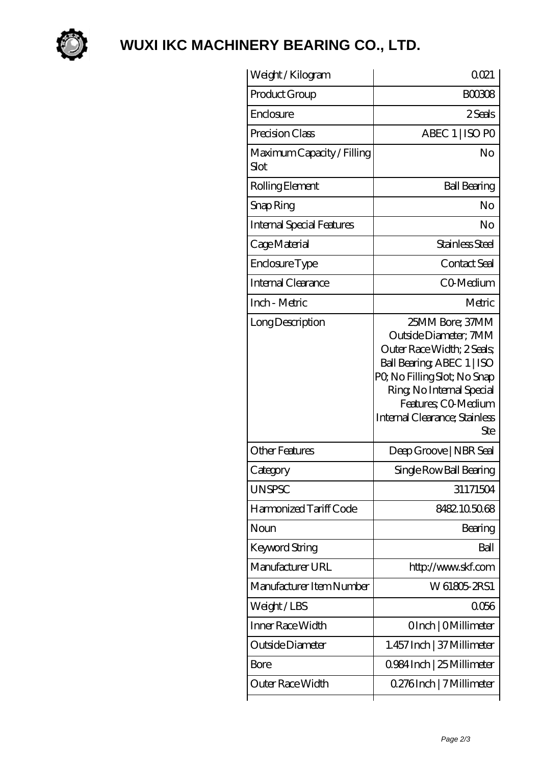

# **[WUXI IKC MACHINERY BEARING CO., LTD.](https://szerafstudio.com)**

| Weight /Kilogram                   | 0021                                                                                                                                                                                                                            |
|------------------------------------|---------------------------------------------------------------------------------------------------------------------------------------------------------------------------------------------------------------------------------|
| Product Group                      | <b>BOO308</b>                                                                                                                                                                                                                   |
| Enclosure                          | 2 Seals                                                                                                                                                                                                                         |
| Precision Class                    | ABEC 1   ISO PO                                                                                                                                                                                                                 |
| Maximum Capacity / Filling<br>Slot | No                                                                                                                                                                                                                              |
| Rolling Element                    | <b>Ball Bearing</b>                                                                                                                                                                                                             |
| Snap Ring                          | No                                                                                                                                                                                                                              |
| <b>Internal Special Features</b>   | No                                                                                                                                                                                                                              |
| Cage Material                      | Stainless Steel                                                                                                                                                                                                                 |
| Enclosure Type                     | Contact Seal                                                                                                                                                                                                                    |
| Internal Clearance                 | CO-Medium                                                                                                                                                                                                                       |
| Inch - Metric                      | Metric                                                                                                                                                                                                                          |
| Long Description                   | 25MM Bore; 37MM<br>Outside Diameter; 7MM<br>Outer Race Width; 2 Seals;<br>Ball Bearing, ABEC 1   ISO<br>PQ No Filling Slot; No Snap<br>Ring, No Internal Special<br>Features; CO-Medium<br>Internal Clearance; Stainless<br>Ste |
| <b>Other Features</b>              | Deep Groove   NBR Seal                                                                                                                                                                                                          |
| Category                           | Single Row Ball Bearing                                                                                                                                                                                                         |
| UNSPSC                             | 31171504                                                                                                                                                                                                                        |
| Harmonized Tariff Code             | 8482105068                                                                                                                                                                                                                      |
| Noun                               | Bearing                                                                                                                                                                                                                         |
| Keyword String                     | Ball                                                                                                                                                                                                                            |
| Manufacturer URL                   | http://www.skf.com                                                                                                                                                                                                              |
| Manufacturer Item Number           | W 61805 2RS1                                                                                                                                                                                                                    |
| Weight/LBS                         | 0056                                                                                                                                                                                                                            |
| Inner Race Width                   | OInch   OMillimeter                                                                                                                                                                                                             |
| Outside Diameter                   | 1.457 Inch   37 Millimeter                                                                                                                                                                                                      |
| <b>Bore</b>                        | 0.984 Inch   25 Millimeter                                                                                                                                                                                                      |
| Outer Race Width                   | 0.276Inch   7 Millimeter                                                                                                                                                                                                        |
|                                    |                                                                                                                                                                                                                                 |